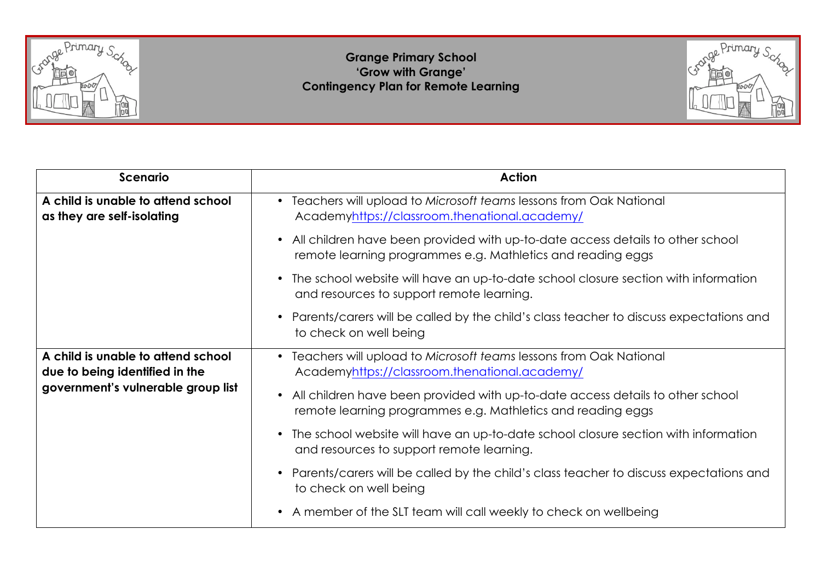

## **Grange Primary School 'Grow with Grange' Contingency Plan for Remote Learning**



| <b>Scenario</b>                                                                                            | <b>Action</b>                                                                                                                                              |
|------------------------------------------------------------------------------------------------------------|------------------------------------------------------------------------------------------------------------------------------------------------------------|
| A child is unable to attend school<br>as they are self-isolating                                           | • Teachers will upload to Microsoft teams lessons from Oak National<br>Academyhttps://classroom.thenational.academy/                                       |
|                                                                                                            | All children have been provided with up-to-date access details to other school<br>$\bullet$<br>remote learning programmes e.g. Mathletics and reading eggs |
|                                                                                                            | The school website will have an up-to-date school closure section with information<br>$\bullet$<br>and resources to support remote learning.               |
|                                                                                                            | Parents/carers will be called by the child's class teacher to discuss expectations and<br>to check on well being                                           |
| A child is unable to attend school<br>due to being identified in the<br>government's vulnerable group list | • Teachers will upload to Microsoft teams lessons from Oak National<br>Academyhttps://classroom.thenational.academy/                                       |
|                                                                                                            | All children have been provided with up-to-date access details to other school<br>$\bullet$<br>remote learning programmes e.g. Mathletics and reading eggs |
|                                                                                                            | The school website will have an up-to-date school closure section with information<br>$\bullet$<br>and resources to support remote learning.               |
|                                                                                                            | Parents/carers will be called by the child's class teacher to discuss expectations and<br>to check on well being                                           |
|                                                                                                            | A member of the SLT team will call weekly to check on wellbeing<br>$\bullet$                                                                               |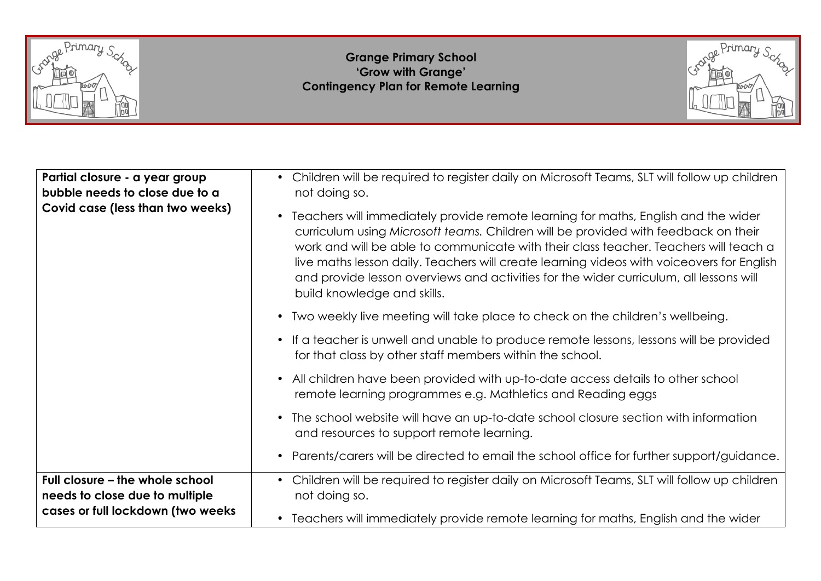

## **Grange Primary School 'Grow with Grange' Contingency Plan for Remote Learning**



| Partial closure - a year group<br>bubble needs to close due to a<br>Covid case (less than two weeks) | Children will be required to register daily on Microsoft Teams, SLT will follow up children<br>$\bullet$<br>not doing so.                                                                                                                                                                                                                                                                                                                                                                           |
|------------------------------------------------------------------------------------------------------|-----------------------------------------------------------------------------------------------------------------------------------------------------------------------------------------------------------------------------------------------------------------------------------------------------------------------------------------------------------------------------------------------------------------------------------------------------------------------------------------------------|
|                                                                                                      | Teachers will immediately provide remote learning for maths, English and the wider<br>$\bullet$<br>curriculum using Microsoft teams. Children will be provided with feedback on their<br>work and will be able to communicate with their class teacher. Teachers will teach a<br>live maths lesson daily. Teachers will create learning videos with voiceovers for English<br>and provide lesson overviews and activities for the wider curriculum, all lessons will<br>build knowledge and skills. |
|                                                                                                      | Two weekly live meeting will take place to check on the children's wellbeing.                                                                                                                                                                                                                                                                                                                                                                                                                       |
|                                                                                                      | If a teacher is unwell and unable to produce remote lessons, lessons will be provided<br>$\bullet$<br>for that class by other staff members within the school.                                                                                                                                                                                                                                                                                                                                      |
|                                                                                                      | All children have been provided with up-to-date access details to other school<br>$\bullet$<br>remote learning programmes e.g. Mathletics and Reading eggs                                                                                                                                                                                                                                                                                                                                          |
|                                                                                                      | The school website will have an up-to-date school closure section with information<br>$\bullet$<br>and resources to support remote learning.                                                                                                                                                                                                                                                                                                                                                        |
|                                                                                                      | Parents/carers will be directed to email the school office for further support/guidance.                                                                                                                                                                                                                                                                                                                                                                                                            |
| Full closure - the whole school<br>needs to close due to multiple                                    | Children will be required to register daily on Microsoft Teams, SLT will follow up children<br>$\bullet$<br>not doing so.                                                                                                                                                                                                                                                                                                                                                                           |
| cases or full lockdown (two weeks                                                                    | Teachers will immediately provide remote learning for maths, English and the wider<br>$\bullet$                                                                                                                                                                                                                                                                                                                                                                                                     |